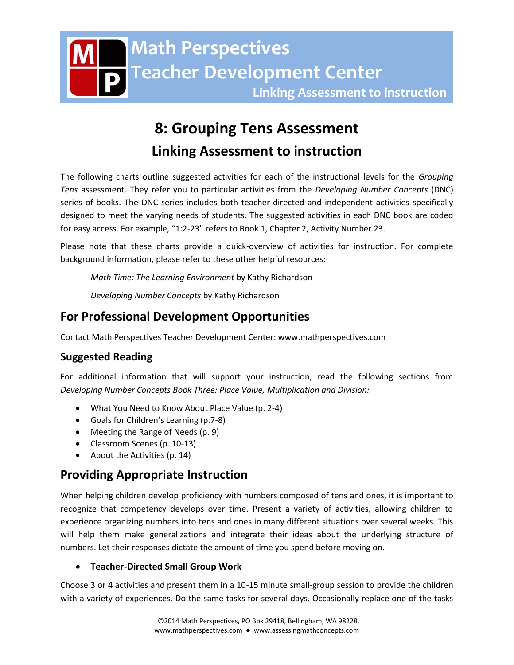# **8: Grouping Tens Assessment Linking Assessment to instruction**

The following charts outline suggested activities for each of the instructional levels for the *Grouping Tens* assessment. They refer you to particular activities from the *Developing Number Concepts* (DNC) series of books. The DNC series includes both teacher-directed and independent activities specifically designed to meet the varying needs of students. The suggested activities in each DNC book are coded for easy access. For example, "1:2-23" refers to Book 1, Chapter 2, Activity Number 23.

Please note that these charts provide a quick-overview of activities for instruction. For complete background information, please refer to these other helpful resources:

*Math Time: The Learning Environment* by Kathy Richardson

*Developing Number Concepts* by Kathy Richardson

## **For Professional Development Opportunities**

Contact Math Perspectives Teacher Development Center: www.mathperspectives.com

## **Suggested Reading**

For additional information that will support your instruction, read the following sections from *Developing Number Concepts Book Three: Place Value, Multiplication and Division:*

- What You Need to Know About Place Value (p. 2-4)
- Goals for Children's Learning (p.7-8)
- Meeting the Range of Needs (p. 9)
- Classroom Scenes (p. 10-13)
- About the Activities (p. 14)

# **Providing Appropriate Instruction**

When helping children develop proficiency with numbers composed of tens and ones, it is important to recognize that competency develops over time. Present a variety of activities, allowing children to experience organizing numbers into tens and ones in many different situations over several weeks. This will help them make generalizations and integrate their ideas about the underlying structure of numbers. Let their responses dictate the amount of time you spend before moving on.

## **Teacher-Directed Small Group Work**

Choose 3 or 4 activities and present them in a 10-15 minute small-group session to provide the children with a variety of experiences. Do the same tasks for several days. Occasionally replace one of the tasks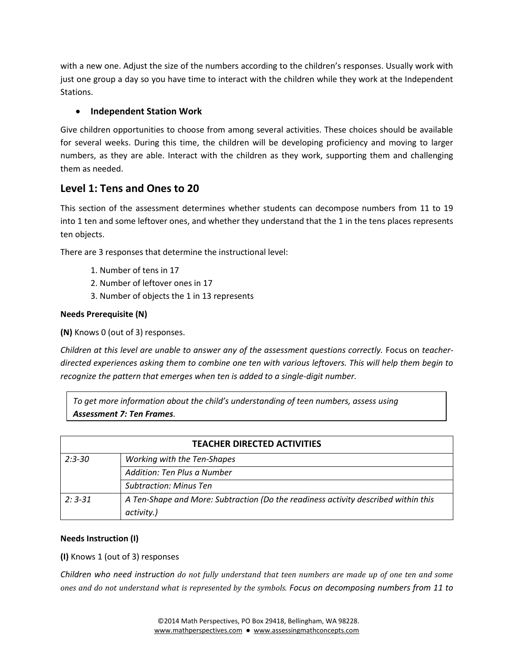with a new one. Adjust the size of the numbers according to the children's responses. Usually work with just one group a day so you have time to interact with the children while they work at the Independent Stations.

## **Independent Station Work**

Give children opportunities to choose from among several activities. These choices should be available for several weeks. During this time, the children will be developing proficiency and moving to larger numbers, as they are able. Interact with the children as they work, supporting them and challenging them as needed.

## **Level 1: Tens and Ones to 20**

This section of the assessment determines whether students can decompose numbers from 11 to 19 into 1 ten and some leftover ones, and whether they understand that the 1 in the tens places represents ten objects.

There are 3 responses that determine the instructional level:

- 1. Number of tens in 17
- 2. Number of leftover ones in 17
- 3. Number of objects the 1 in 13 represents

## **Needs Prerequisite (N)**

**(N)** Knows 0 (out of 3) responses.

*Children at this level are unable to answer any of the assessment questions correctly.* Focus on *teacherdirected experiences asking them to combine one ten with various leftovers. This will help them begin to recognize the pattern that emerges when ten is added to a single-digit number.* 

*To get more information about the child's understanding of teen numbers, assess using Assessment 7: Ten Frames.*

| <b>TEACHER DIRECTED ACTIVITIES</b> |                                                                                    |
|------------------------------------|------------------------------------------------------------------------------------|
| $2:3 - 30$                         | Working with the Ten-Shapes                                                        |
|                                    | Addition: Ten Plus a Number                                                        |
|                                    | <b>Subtraction: Minus Ten</b>                                                      |
| $2:3-31$                           | A Ten-Shape and More: Subtraction (Do the readiness activity described within this |
|                                    | activity.)                                                                         |

## **Needs Instruction (I)**

#### **(I)** Knows 1 (out of 3) responses

*Children who need instruction do not fully understand that teen numbers are made up of one ten and some ones and do not understand what is represented by the symbols. Focus on decomposing numbers from 11 to*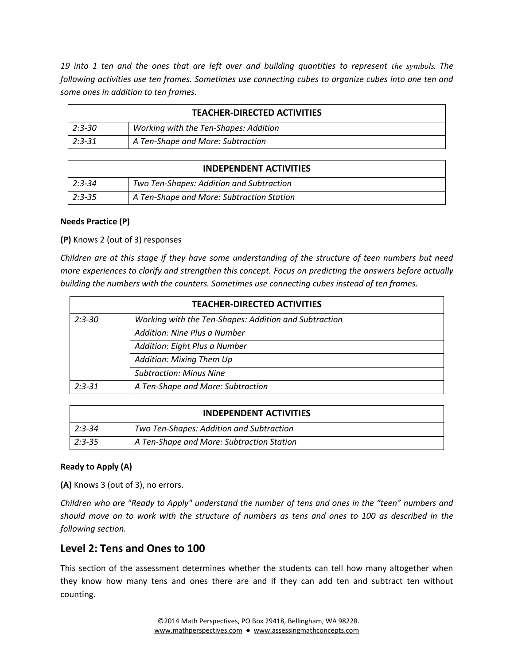19 into 1 ten and the ones that are left over and building quantities to represent the symbols. The *following activities use ten frames. Sometimes use connecting cubes to organize cubes into one ten and some ones in addition to ten frames.* 

| <b>TEACHER-DIRECTED ACTIVITIES</b> |                                       |
|------------------------------------|---------------------------------------|
| $ 2:3-30 $                         | Working with the Ten-Shapes: Addition |
| $2:3-31$                           | A Ten-Shape and More: Subtraction     |

| <b>INDEPENDENT ACTIVITIES</b> |                                           |
|-------------------------------|-------------------------------------------|
| $2:3-34$                      | Two Ten-Shapes: Addition and Subtraction  |
| $2:3-35$                      | A Ten-Shape and More: Subtraction Station |

#### **Needs Practice (P)**

**(P)** Knows 2 (out of 3) responses

*Children are at this stage if they have some understanding of the structure of teen numbers but need more experiences to clarify and strengthen this concept. Focus on predicting the answers before actually building the numbers with the counters. Sometimes use connecting cubes instead of ten frames.* 

| <b>TEACHER-DIRECTED ACTIVITIES</b> |                                                       |
|------------------------------------|-------------------------------------------------------|
| $2:3 - 30$                         | Working with the Ten-Shapes: Addition and Subtraction |
|                                    | Addition: Nine Plus a Number                          |
|                                    | Addition: Eight Plus a Number                         |
|                                    | Addition: Mixing Them Up                              |
|                                    | <b>Subtraction: Minus Nine</b>                        |
| $2:3 - 31$                         | A Ten-Shape and More: Subtraction                     |

| <b>INDEPENDENT ACTIVITIES</b> |                                           |
|-------------------------------|-------------------------------------------|
| $2:3-34$                      | Two Ten-Shapes: Addition and Subtraction  |
| $2:3-35$                      | A Ten-Shape and More: Subtraction Station |

## **Ready to Apply (A)**

**(A)** Knows 3 (out of 3), no errors.

*Children who are "Ready to Apply" understand the number of tens and ones in the "teen" numbers and should move on to work with the structure of numbers as tens and ones to 100 as described in the following section.*

## **Level 2: Tens and Ones to 100**

This section of the assessment determines whether the students can tell how many altogether when they know how many tens and ones there are and if they can add ten and subtract ten without counting.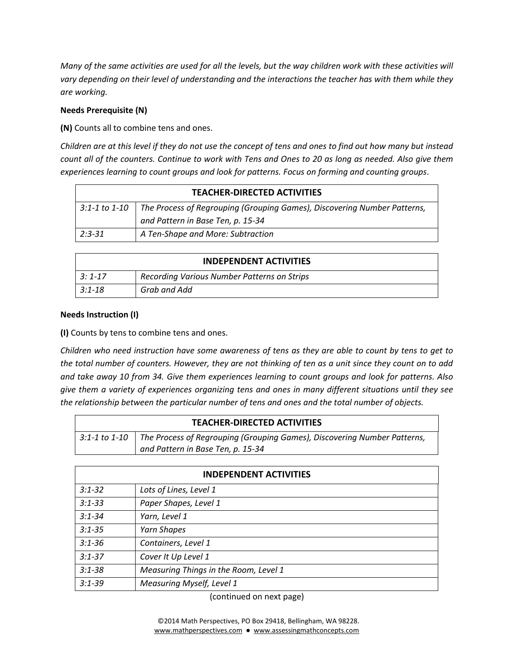*Many of the same activities are used for all the levels, but the way children work with these activities will vary depending on their level of understanding and the interactions the teacher has with them while they are working.*

### **Needs Prerequisite (N)**

**(N)** Counts all to combine tens and ones.

*Children are at this level if they do not use the concept of tens and ones to find out how many but instead count all of the counters. Continue to work with Tens and Ones to 20 as long as needed. Also give them experiences learning to count groups and look for patterns. Focus on forming and counting groups*.

| <b>TEACHER-DIRECTED ACTIVITIES</b> |                                                                                        |
|------------------------------------|----------------------------------------------------------------------------------------|
|                                    | 3:1-1 to 1-10 The Process of Regrouping (Grouping Games), Discovering Number Patterns, |
|                                    | and Pattern in Base Ten, p. 15-34                                                      |
| $2:3-31$                           | A Ten-Shape and More: Subtraction                                                      |
|                                    |                                                                                        |

| <b>INDEPENDENT ACTIVITIES</b> |                                             |
|-------------------------------|---------------------------------------------|
| $3:1 - 17$                    | Recording Various Number Patterns on Strips |
| $3:1 - 18$                    | Grab and Add                                |

#### **Needs Instruction (I)**

**(I)** Counts by tens to combine tens and ones.

*Children who need instruction have some awareness of tens as they are able to count by tens to get to the total number of counters. However, they are not thinking of ten as a unit since they count on to add and take away 10 from 34. Give them experiences learning to count groups and look for patterns. Also give them a variety of experiences organizing tens and ones in many different situations until they see the relationship between the particular number of tens and ones and the total number of objects.* 

| <b>TEACHER-DIRECTED ACTIVITIES</b> |                                                                                                                                 |
|------------------------------------|---------------------------------------------------------------------------------------------------------------------------------|
|                                    | $3:1-1$ to 1-10   The Process of Regrouping (Grouping Games), Discovering Number Patterns,<br>and Pattern in Base Ten, p. 15-34 |

| <b>INDEPENDENT ACTIVITIES</b> |                                       |
|-------------------------------|---------------------------------------|
| $3:1 - 32$                    | Lots of Lines, Level 1                |
| $3:1 - 33$                    | Paper Shapes, Level 1                 |
| $3:1 - 34$                    | Yarn, Level 1                         |
| $3:1 - 35$                    | Yarn Shapes                           |
| $3:1 - 36$                    | Containers, Level 1                   |
| $3:1 - 37$                    | Cover It Up Level 1                   |
| $3:1 - 38$                    | Measuring Things in the Room, Level 1 |
| $3:1 - 39$                    | Measuring Myself, Level 1             |

(continued on next page)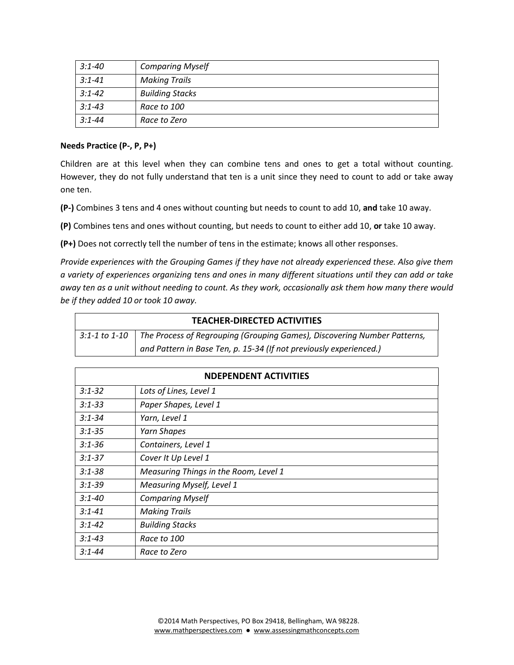| 3:1-40     | <b>Comparing Myself</b> |
|------------|-------------------------|
| $3:1 - 41$ | <b>Making Trails</b>    |
| $3:1 - 42$ | <b>Building Stacks</b>  |
| $3:1 - 43$ | Race to 100             |
| $3:1 - 44$ | Race to Zero            |

#### **Needs Practice (P-, P, P+)**

Children are at this level when they can combine tens and ones to get a total without counting. However, they do not fully understand that ten is a unit since they need to count to add or take away one ten.

**(P-)** Combines 3 tens and 4 ones without counting but needs to count to add 10, **and** take 10 away.

**(P)** Combines tens and ones without counting, but needs to count to either add 10, **or** take 10 away.

**(P+)** Does not correctly tell the number of tens in the estimate; knows all other responses.

*Provide experiences with the Grouping Games if they have not already experienced these. Also give them a variety of experiences organizing tens and ones in many different situations until they can add or take away ten as a unit without needing to count. As they work, occasionally ask them how many there would be if they added 10 or took 10 away.* 

| <b>TEACHER-DIRECTED ACTIVITIES</b> |                                                                          |
|------------------------------------|--------------------------------------------------------------------------|
| 3:1-1 to 1-10                      | The Process of Regrouping (Grouping Games), Discovering Number Patterns, |
|                                    | and Pattern in Base Ten, p. 15-34 (If not previously experienced.)       |

| <b>NDEPENDENT ACTIVITIES</b> |                                       |
|------------------------------|---------------------------------------|
| $3:1 - 32$                   | Lots of Lines, Level 1                |
| $3:1 - 33$                   | Paper Shapes, Level 1                 |
| $3:1 - 34$                   | Yarn, Level 1                         |
| $3:1 - 35$                   | Yarn Shapes                           |
| $3:1 - 36$                   | Containers, Level 1                   |
| $3:1 - 37$                   | Cover It Up Level 1                   |
| $3:1 - 38$                   | Measuring Things in the Room, Level 1 |
| $3:1 - 39$                   | <b>Measuring Myself, Level 1</b>      |
| $3:1 - 40$                   | <b>Comparing Myself</b>               |
| $3:1 - 41$                   | <b>Making Trails</b>                  |
| $3:1 - 42$                   | <b>Building Stacks</b>                |
| $3:1 - 43$                   | Race to 100                           |
| $3:1 - 44$                   | Race to Zero                          |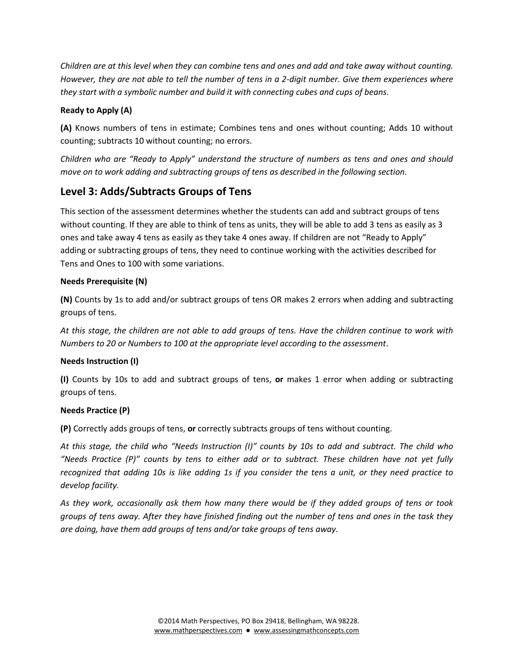*Children are at this level when they can combine tens and ones and add and take away without counting. However, they are not able to tell the number of tens in a 2-digit number. Give them experiences where they start with a symbolic number and build it with connecting cubes and cups of beans.*

## **Ready to Apply (A)**

**(A)** Knows numbers of tens in estimate; Combines tens and ones without counting; Adds 10 without counting; subtracts 10 without counting; no errors.

*Children who are "Ready to Apply" understand the structure of numbers as tens and ones and should move on to work adding and subtracting groups of tens as described in the following section.* 

## **Level 3: Adds/Subtracts Groups of Tens**

This section of the assessment determines whether the students can add and subtract groups of tens without counting. If they are able to think of tens as units, they will be able to add 3 tens as easily as 3 ones and take away 4 tens as easily as they take 4 ones away. If children are not "Ready to Apply" adding or subtracting groups of tens, they need to continue working with the activities described for Tens and Ones to 100 with some variations.

## **Needs Prerequisite (N)**

**(N)** Counts by 1s to add and/or subtract groups of tens OR makes 2 errors when adding and subtracting groups of tens.

*At this stage, the children are not able to add groups of tens. Have the children continue to work with Numbers to 20 or Numbers to 100 at the appropriate level according to the assessment*.

## **Needs Instruction (I)**

**(I)** Counts by 10s to add and subtract groups of tens, **or** makes 1 error when adding or subtracting groups of tens.

## **Needs Practice (P)**

**(P)** Correctly adds groups of tens, **or** correctly subtracts groups of tens without counting.

*At this stage, the child who "Needs Instruction (I)" counts by 10s to add and subtract. The child who "Needs Practice (P)" counts by tens to either add or to subtract. These children have not yet fully recognized that adding 10s is like adding 1s if you consider the tens a unit, or they need practice to develop facility.* 

*As they work, occasionally ask them how many there would be if they added groups of tens or took groups of tens away. After they have finished finding out the number of tens and ones in the task they are doing, have them add groups of tens and/or take groups of tens away.*